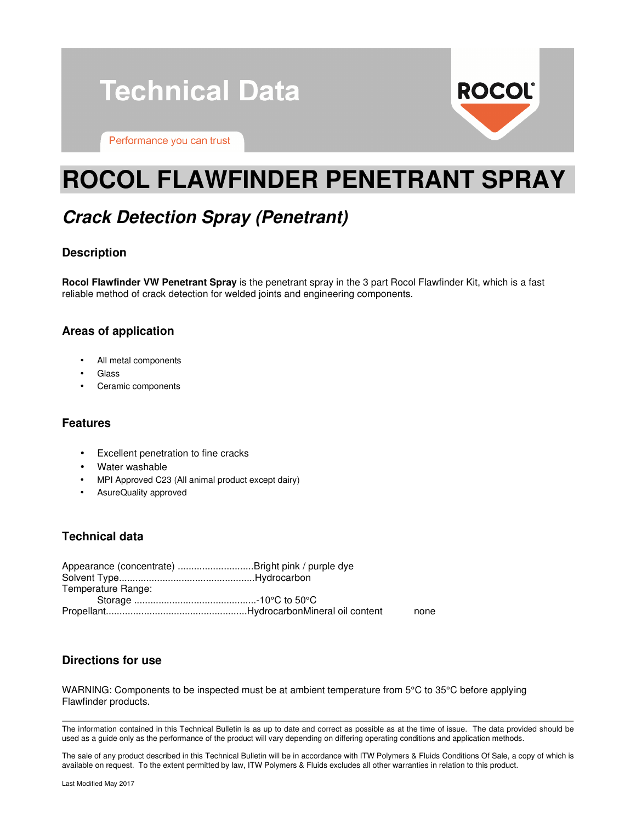



Performance you can trust

# **ROCOL FLAWFINDER PENETRANT SPRAY**

# **Crack Detection Spray (Penetrant)**

## **Description**

**Rocol Flawfinder VW Penetrant Spray** is the penetrant spray in the 3 part Rocol Flawfinder Kit, which is a fast reliable method of crack detection for welded joints and engineering components.

### **Areas of application**

- All metal components
- Glass
- Ceramic components

### **Features**

- Excellent penetration to fine cracks
- Water washable
- MPI Approved C23 (All animal product except dairy)
- AsureQuality approved

# **Technical data**

| Appearance (concentrate) Bright pink / purple dye |      |
|---------------------------------------------------|------|
|                                                   |      |
| Temperature Range:                                |      |
|                                                   |      |
|                                                   | none |

### **Directions for use**

WARNING: Components to be inspected must be at ambient temperature from 5°C to 35°C before applying Flawfinder products.

The information contained in this Technical Bulletin is as up to date and correct as possible as at the time of issue. The data provided should be used as a guide only as the performance of the product will vary depending on differing operating conditions and application methods.

The sale of any product described in this Technical Bulletin will be in accordance with ITW Polymers & Fluids Conditions Of Sale, a copy of which is available on request. To the extent permitted by law, ITW Polymers & Fluids excludes all other warranties in relation to this product.